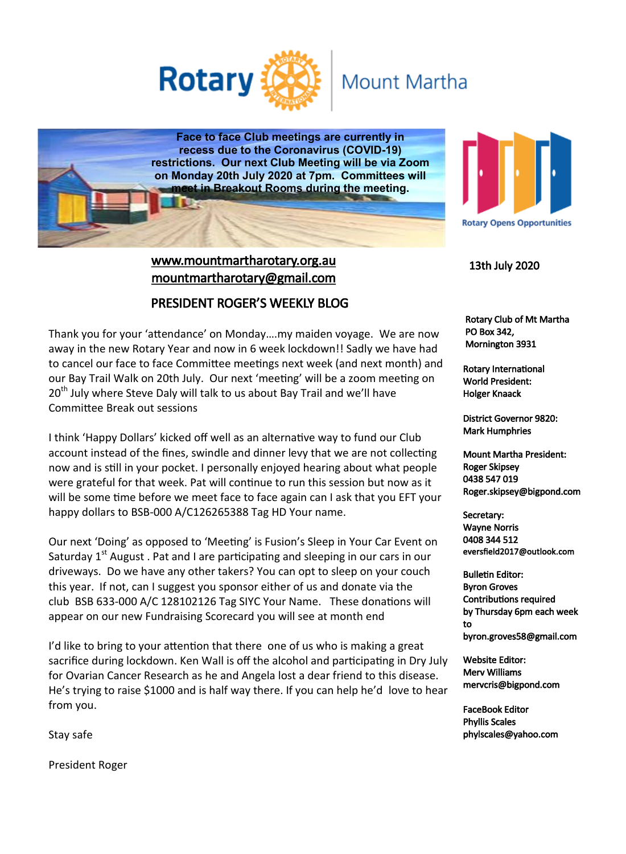

## **Mount Martha**

**Face to face Club meetings are currently in recess due to the Coronavirus (COVID-19) restrictions. Our next Club Meeting will be via Zoom on Monday 20th July 2020 at 7pm. Committees will meet in Breakout Rooms during the meeting.**

## www.mountmartharotary.org.au mountmartharotary@gmail.com

#### PRESIDENT ROGER'S WEEKLY BLOG

Thank you for your 'attendance' on Monday….my maiden voyage. We are now away in the new Rotary Year and now in 6 week lockdown!! Sadly we have had to cancel our face to face Committee meetings next week (and next month) and our Bay Trail Walk on 20th July. Our next 'meeting' will be a zoom meeting on 20<sup>th</sup> July where Steve Daly will talk to us about Bay Trail and we'll have Committee Break out sessions

I think 'Happy Dollars' kicked off well as an alternative way to fund our Club account instead of the fines, swindle and dinner levy that we are not collecting now and is still in your pocket. I personally enjoyed hearing about what people were grateful for that week. Pat will continue to run this session but now as it will be some time before we meet face to face again can I ask that you EFT your happy dollars to BSB-000 A/C126265388 Tag HD Your name.

Our next 'Doing' as opposed to 'Meeting' is Fusion's Sleep in Your Car Event on Saturday  $1<sup>st</sup>$  August . Pat and I are participating and sleeping in our cars in our driveways. Do we have any other takers? You can opt to sleep on your couch this year. If not, can I suggest you sponsor either of us and donate via the club BSB 633-000 A/C 128102126 Tag SIYC Your Name. These donations will appear on our new Fundraising Scorecard you will see at month end

I'd like to bring to your attention that there one of us who is making a great sacrifice during lockdown. Ken Wall is off the alcohol and participating in Dry July for Ovarian Cancer Research as he and Angela lost a dear friend to this disease. He's trying to raise \$1000 and is half way there. If you can help he'd love to hear from you.

**Rotary Opens Opportunities** 

13th July 2020

 Rotary Club of Mt Martha PO Box 342, Mornington 3931

Rotary International World President: Holger Knaack

District Governor 9820: Mark Humphries

Mount Martha President: Roger Skipsey 0438 547 019 Roger.skipsey@bigpond.com

Secretary: Wayne Norris 0408 344 512 eversfield2017@outlook.com

Bulletin Editor: Byron Groves Contributions required by Thursday 6pm each week to byron.groves58@gmail.com

Website Editor: Merv Williams mervcris@bigpond.com

FaceBook Editor Phyllis Scales phylscales@yahoo.com

Stay safe

President Roger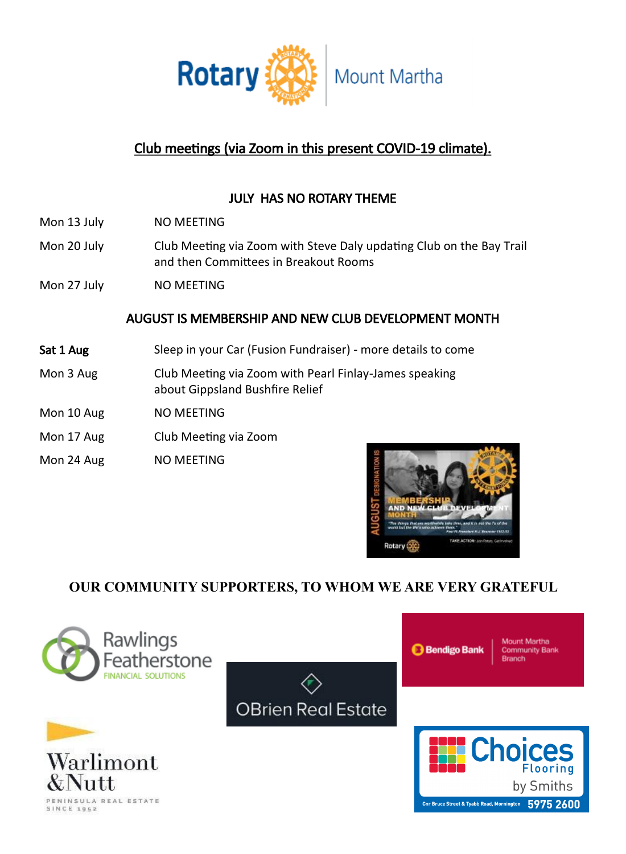

## Club meetings (via Zoom in this present COVID-19 climate).

## JULY HAS NO ROTARY THEME

- Mon 13 July NO MEETING
- Mon 20 July Club Meeting via Zoom with Steve Daly updating Club on the Bay Trail and then Committees in Breakout Rooms
- Mon 27 July NO MEETING

#### AUGUST IS MEMBERSHIP AND NEW CLUB DEVELOPMENT MONTH

- Sat 1 Aug Sleep in your Car (Fusion Fundraiser) more details to come
- Mon 3 Aug Club Meeting via Zoom with Pearl Finlay-James speaking about Gippsland Bushfire Relief
- Mon 10 Aug NO MEETING
- Mon 17 Aug Club Meeting via Zoom
- Mon 24 Aug NO MEETING



## **OUR COMMUNITY SUPPORTERS, TO WHOM WE ARE VERY GRATEFUL**

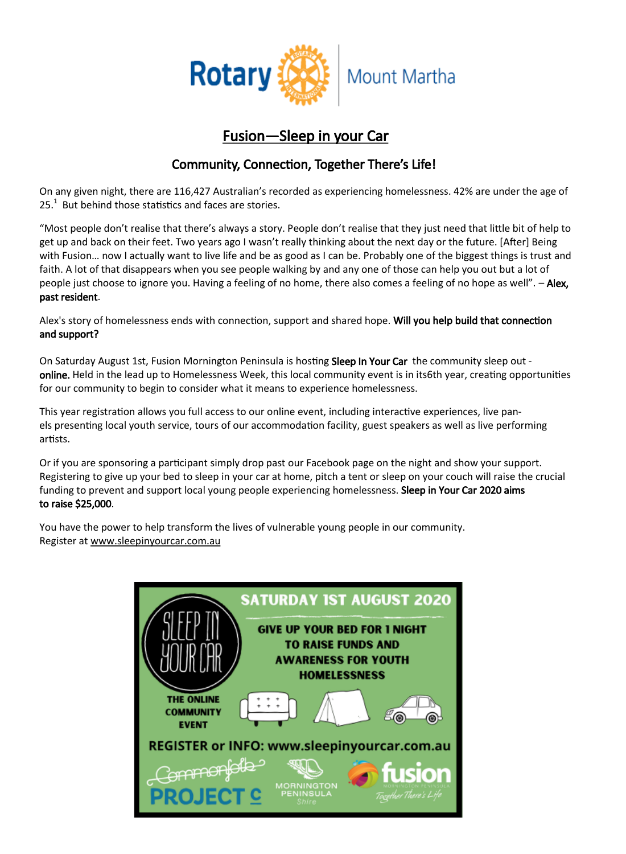

## Fusion—Sleep in your Car

### Community, Connection, Together There's Life!

On any given night, there are 116,427 Australian's recorded as experiencing homelessness. 42% are under the age of  $25<sup>1</sup>$  But behind those statistics and faces are stories.

"Most people don't realise that there's always a story. People don't realise that they just need that little bit of help to get up and back on their feet. Two years ago I wasn't really thinking about the next day or the future. [After] Being with Fusion… now I actually want to live life and be as good as I can be. Probably one of the biggest things is trust and faith. A lot of that disappears when you see people walking by and any one of those can help you out but a lot of people just choose to ignore you. Having a feeling of no home, there also comes a feeling of no hope as well". - Alex, past resident.

Alex's story of homelessness ends with connection, support and shared hope. Will you help build that connection and support?

On Saturday August 1st, Fusion Mornington Peninsula is hosting Sleep In Your Car the community sleep out online. Held in the lead up to Homelessness Week, this local community event is in its6th year, creating opportunities for our community to begin to consider what it means to experience homelessness.

This year registration allows you full access to our online event, including interactive experiences, live panels presenting local youth service, tours of our accommodation facility, guest speakers as well as live performing artists.

Or if you are sponsoring a participant simply drop past our Facebook page on the night and show your support. Registering to give up your bed to sleep in your car at home, pitch a tent or sleep on your couch will raise the crucial funding to prevent and support local young people experiencing homelessness. Sleep in Your Car 2020 aims to raise \$25,000.

You have the power to help transform the lives of vulnerable young people in our community. Register at [www.sleepinyourcar.com.au](http://www.sleepinyourcar.com.au/)

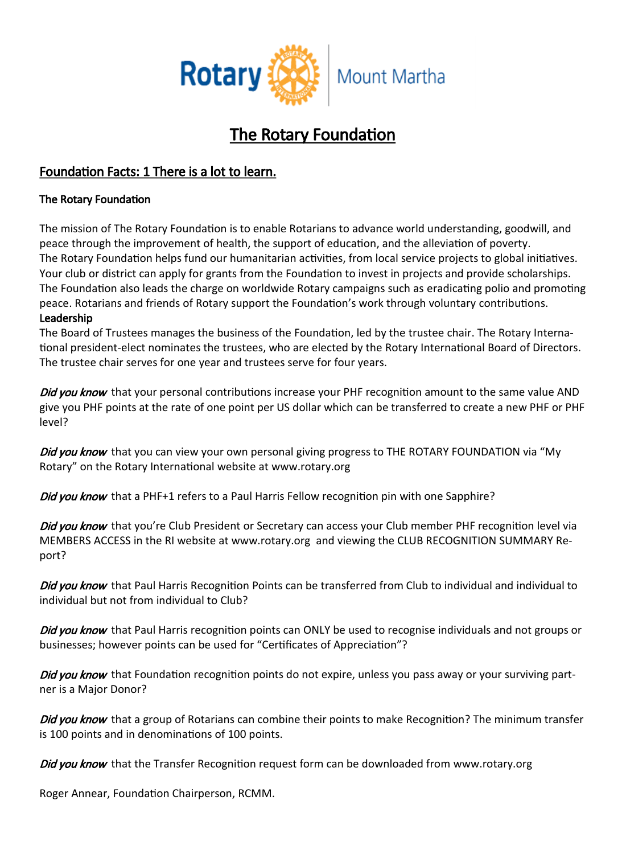

## The Rotary Foundation

#### Foundation Facts: 1 There is a lot to learn.

#### The Rotary Foundation

The mission of The Rotary Foundation is to enable Rotarians to advance world understanding, goodwill, and peace through the improvement of health, the support of education, and the alleviation of poverty. The Rotary Foundation helps fund our humanitarian activities, from local service projects to global initiatives. Your club or district can apply for grants from the Foundation to invest in projects and provide scholarships. The Foundation also leads the charge on worldwide Rotary campaigns such as [eradicating polio](https://www.rotary.org/myrotary/en/take-action/end-polio) and [promoting](https://www.rotary.org/myrotary/en/get-involved/exchange-ideas/peace-fellowships)  [peace.](https://www.rotary.org/myrotary/en/get-involved/exchange-ideas/peace-fellowships) Rotarians and friends of Rotary support the Foundation's work through voluntary [contributions.](https://www.rotary.org/myrotary/en/take-action/give) Leadership

[The Board of Trustees](https://www.rotary.org/myrotary/en/learning-reference/about-rotary/trustees) manages the business of the Foundation, led by the [trustee chair.](https://www.rotary.org/myrotary/en/learning-reference/about-rotary/trustee-chair) The Rotary International president-elect nominates the trustees, who are elected by the [Rotary International Board of Directors.](https://www.rotary.org/myrotary/en/learning-reference/about-rotary/directors) The trustee chair serves for one year and trustees serve for four years.

Did you know that your personal contributions increase your PHF recognition amount to the same value AND give you PHF points at the rate of one point per US dollar which can be transferred to create a new PHF or PHF level?

Did you know that you can view your own personal giving progress to THE ROTARY FOUNDATION via "My Rotary" on the Rotary International website at [www.rotary.org](http://www.rotary.org/)

Did you know that a PHF+1 refers to a Paul Harris Fellow recognition pin with one Sapphire?

Did you know that you're Club President or Secretary can access your Club member PHF recognition level via MEMBERS ACCESS in the RI website at www.rotary.org and viewing the CLUB RECOGNITION SUMMARY Report?

Did you know that Paul Harris Recognition Points can be transferred from Club to individual and individual to individual but not from individual to Club?

Did you know that Paul Harris recognition points can ONLY be used to recognise individuals and not groups or businesses; however points can be used for "Certificates of Appreciation"?

Did you know that Foundation recognition points do not expire, unless you pass away or your surviving partner is a Major Donor?

Did you know that a group of Rotarians can combine their points to make Recognition? The minimum transfer is 100 points and in denominations of 100 points.

Did you know that the Transfer Recognition request form can be downloaded from [www.rotary.org](http://www.rotary.org/)

Roger Annear, Foundation Chairperson, RCMM.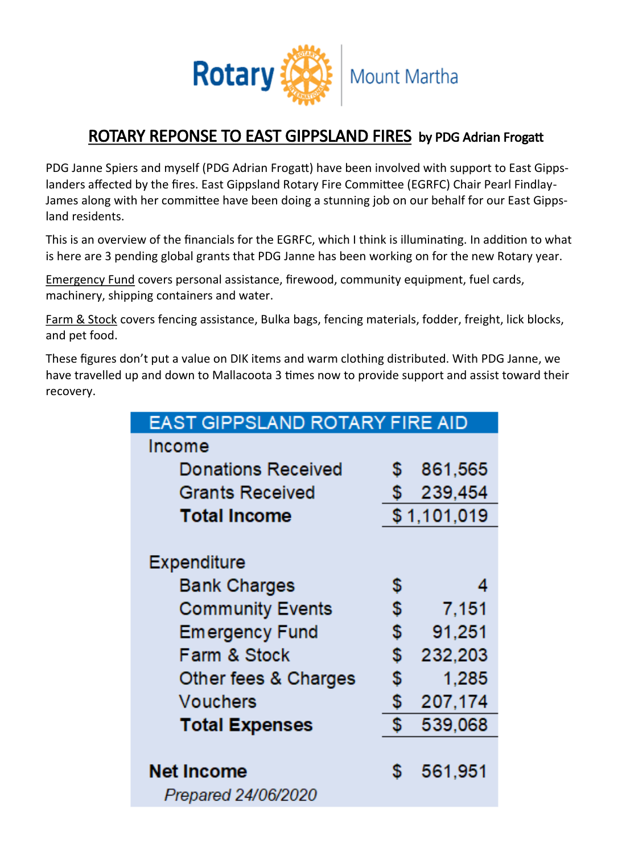

## ROTARY REPONSE TO EAST GIPPSLAND FIRES by PDG Adrian Frogatt

PDG Janne Spiers and myself (PDG Adrian Frogatt) have been involved with support to East Gippslanders affected by the fires. East Gippsland Rotary Fire Committee (EGRFC) Chair Pearl Findlay-James along with her committee have been doing a stunning job on our behalf for our East Gippsland residents.

This is an overview of the financials for the EGRFC, which I think is illuminating. In addition to what is here are 3 pending global grants that PDG Janne has been working on for the new Rotary year.

Emergency Fund covers personal assistance, firewood, community equipment, fuel cards, machinery, shipping containers and water.

Farm & Stock covers fencing assistance, Bulka bags, fencing materials, fodder, freight, lick blocks, and pet food.

These figures don't put a value on DIK items and warm clothing distributed. With PDG Janne, we have travelled up and down to Mallacoota 3 times now to provide support and assist toward their recovery.

| <b>EAST GIPPSLAND ROTARY FIRE AID</b> |             |         |
|---------------------------------------|-------------|---------|
| Income                                |             |         |
| <b>Donations Received</b>             | \$          | 861,565 |
| <b>Grants Received</b>                | \$          | 239,454 |
| <b>Total Income</b>                   | \$1,101,019 |         |
|                                       |             |         |
| Expenditure                           |             |         |
| <b>Bank Charges</b>                   | \$          |         |
| <b>Community Events</b>               | \$          | 7,151   |
| <b>Emergency Fund</b>                 | \$          | 91,251  |
| Farm & Stock                          | \$          | 232,203 |
| Other fees & Charges                  | \$          | 1.285   |
| Vouchers                              | \$          | 207,174 |
| <b>Total Expenses</b>                 | \$          | 539,068 |
|                                       |             |         |
| <b>Net Income</b>                     | \$          | 561,951 |
| Prepared 24/06/2020                   |             |         |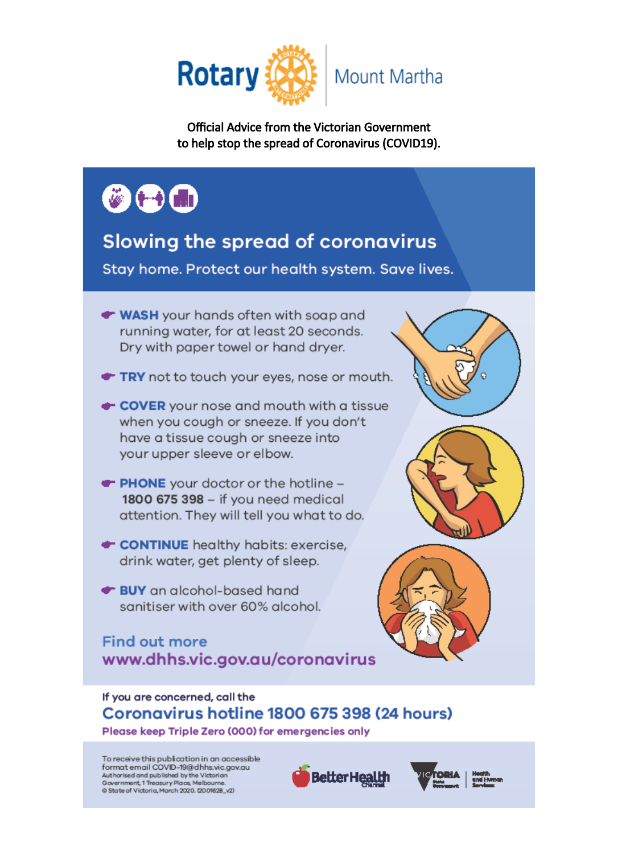

**Official Advice from the Victorian Government** to help stop the spread of Coronavirus (COVID19).

# $\bullet$  (-) (a)

## Slowing the spread of coronavirus

Stay home. Protect our health system. Save lives.

- WASH your hands often with soap and running water, for at least 20 seconds. Dry with paper towel or hand dryer.
- TRY not to touch your eyes, nose or mouth.
- COVER your nose and mouth with a tissue when you cough or sneeze. If you don't have a tissue cough or sneeze into your upper sleeve or elbow.
- **T** PHONE your doctor or the hotline -1800 675 398 - if you need medical attention. They will tell you what to do.
- CONTINUE healthy habits: exercise, drink water, get plenty of sleep.
- BUY an alcohol-based hand sanitiser with over 60% alcohol.

## **Find out more** www.dhhs.vic.gov.au/coronavirus



Please keep Triple Zero (000) for emergencies only

To receive this publication in an accessible format email COVID-19@dhhs.vic.gov.au Authorised and published by the Victorian Government, 1 Treasury Place, Melbourne. @ State of Victoria, March 2020. (2001628\_v2)